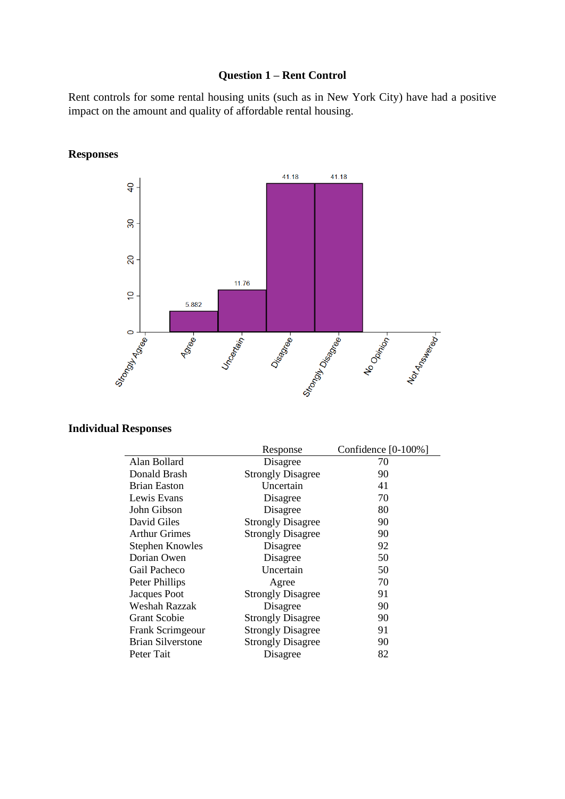### **Question 1 – Rent Control**

Rent controls for some rental housing units (such as in New York City) have had a positive impact on the amount and quality of affordable rental housing.



**Responses**

## **Individual Responses**

|                          | Response                 | Confidence $[0-100\%]$ |
|--------------------------|--------------------------|------------------------|
| Alan Bollard             | Disagree                 | 70                     |
| Donald Brash             | <b>Strongly Disagree</b> | 90                     |
| <b>Brian Easton</b>      | Uncertain                | 41                     |
| Lewis Evans              | Disagree                 | 70                     |
| John Gibson              | Disagree                 | 80                     |
| David Giles              | <b>Strongly Disagree</b> | 90                     |
| <b>Arthur Grimes</b>     | <b>Strongly Disagree</b> | 90                     |
| <b>Stephen Knowles</b>   | Disagree                 | 92                     |
| Dorian Owen              | Disagree                 | 50                     |
| Gail Pacheco             | Uncertain                | 50                     |
| Peter Phillips           | Agree                    | 70                     |
| Jacques Poot             | <b>Strongly Disagree</b> | 91                     |
| Weshah Razzak            | Disagree                 | 90                     |
| <b>Grant Scobie</b>      | <b>Strongly Disagree</b> | 90                     |
| Frank Scrimgeour         | <b>Strongly Disagree</b> | 91                     |
| <b>Brian Silverstone</b> | <b>Strongly Disagree</b> | 90                     |
| Peter Tait               | Disagree                 | 82                     |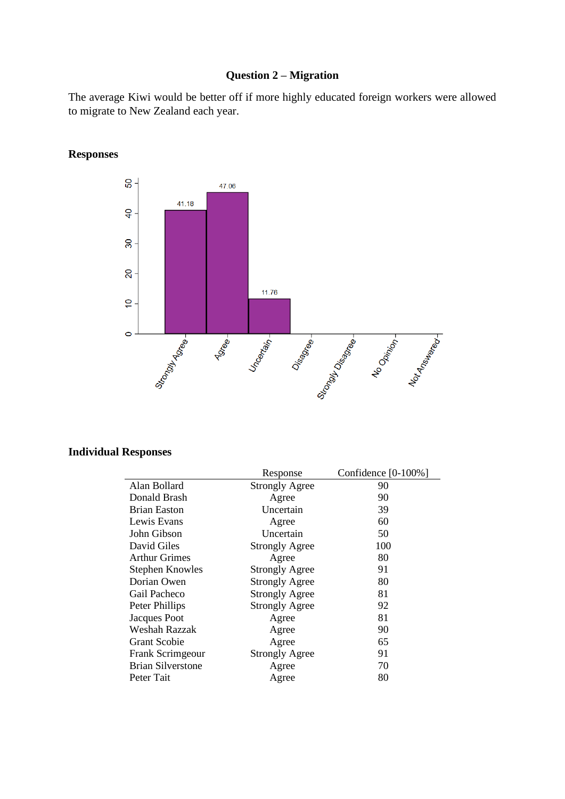## **Question 2 – Migration**

The average Kiwi would be better off if more highly educated foreign workers were allowed to migrate to New Zealand each year.



**Responses**

#### **Individual Responses**

|                          | Response              | Confidence $[0-100\%]$ |
|--------------------------|-----------------------|------------------------|
| Alan Bollard             | <b>Strongly Agree</b> | 90                     |
| Donald Brash             | Agree                 | 90                     |
| <b>Brian Easton</b>      | Uncertain             | 39                     |
| Lewis Evans              | Agree                 | 60                     |
| John Gibson              | Uncertain             | 50                     |
| David Giles              | <b>Strongly Agree</b> | 100                    |
| <b>Arthur Grimes</b>     | Agree                 | 80                     |
| <b>Stephen Knowles</b>   | <b>Strongly Agree</b> | 91                     |
| Dorian Owen              | <b>Strongly Agree</b> | 80                     |
| Gail Pacheco             | <b>Strongly Agree</b> | 81                     |
| Peter Phillips           | <b>Strongly Agree</b> | 92                     |
| Jacques Poot             | Agree                 | 81                     |
| Weshah Razzak            | Agree                 | 90                     |
| <b>Grant Scobie</b>      | Agree                 | 65                     |
| Frank Scrimgeour         | <b>Strongly Agree</b> | 91                     |
| <b>Brian Silverstone</b> | Agree                 | 70                     |
| Peter Tait               | Agree                 | 80                     |